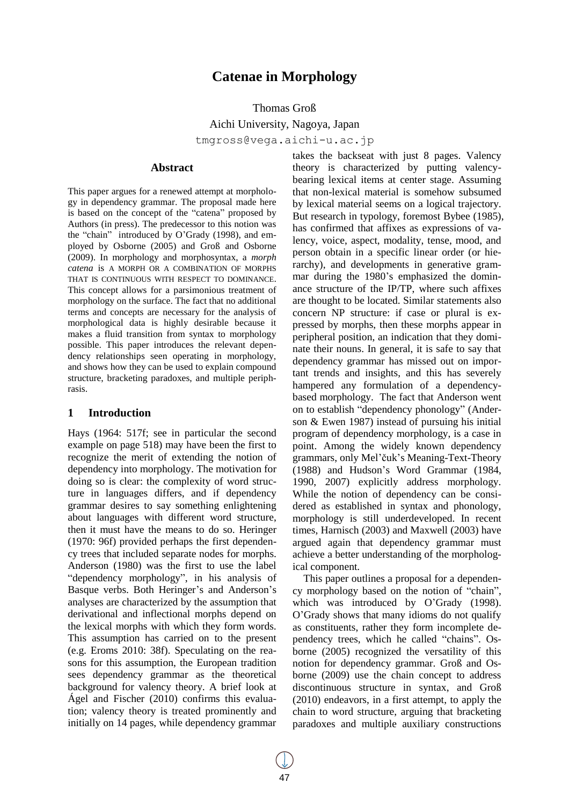# **Catenae in Morphology**

Thomas Groß

Aichi University, Nagoya, Japan tmgross@vega.aichi-u.ac.jp

#### **Abstract**

This paper argues for a renewed attempt at morphology in dependency grammar. The proposal made here is based on the concept of the "catena" proposed by Authors (in press). The predecessor to this notion was the "chain" introduced by O"Grady (1998), and employed by Osborne (2005) and Groß and Osborne (2009). In morphology and morphosyntax, a *morph catena* is A MORPH OR A COMBINATION OF MORPHS THAT IS CONTINUOUS WITH RESPECT TO DOMINANCE. This concept allows for a parsimonious treatment of morphology on the surface. The fact that no additional terms and concepts are necessary for the analysis of morphological data is highly desirable because it makes a fluid transition from syntax to morphology possible. This paper introduces the relevant dependency relationships seen operating in morphology, and shows how they can be used to explain compound structure, bracketing paradoxes, and multiple periphrasis.

### **1 Introduction**

Hays (1964: 517f; see in particular the second example on page 518) may have been the first to recognize the merit of extending the notion of dependency into morphology. The motivation for doing so is clear: the complexity of word structure in languages differs, and if dependency grammar desires to say something enlightening about languages with different word structure, then it must have the means to do so. Heringer (1970: 96f) provided perhaps the first dependency trees that included separate nodes for morphs. Anderson (1980) was the first to use the label "dependency morphology", in his analysis of Basque verbs. Both Heringer's and Anderson's analyses are characterized by the assumption that derivational and inflectional morphs depend on the lexical morphs with which they form words. This assumption has carried on to the present (e.g. Eroms 2010: 38f). Speculating on the reasons for this assumption, the European tradition sees dependency grammar as the theoretical background for valency theory. A brief look at Ágel and Fischer (2010) confirms this evaluation; valency theory is treated prominently and initially on 14 pages, while dependency grammar takes the backseat with just 8 pages. Valency theory is characterized by putting valencybearing lexical items at center stage. Assuming that non-lexical material is somehow subsumed by lexical material seems on a logical trajectory. But research in typology, foremost Bybee (1985), has confirmed that affixes as expressions of valency, voice, aspect, modality, tense, mood, and person obtain in a specific linear order (or hierarchy), and developments in generative grammar during the 1980's emphasized the dominance structure of the IP/TP, where such affixes are thought to be located. Similar statements also concern NP structure: if case or plural is expressed by morphs, then these morphs appear in peripheral position, an indication that they dominate their nouns. In general, it is safe to say that dependency grammar has missed out on important trends and insights, and this has severely hampered any formulation of a dependencybased morphology. The fact that Anderson went on to establish "dependency phonology" (Anderson & Ewen 1987) instead of pursuing his initial program of dependency morphology, is a case in point. Among the widely known dependency grammars, only Mel"čuk"s Meaning-Text-Theory (1988) and Hudson"s Word Grammar (1984, 1990, 2007) explicitly address morphology. While the notion of dependency can be considered as established in syntax and phonology, morphology is still underdeveloped. In recent times, Harnisch (2003) and Maxwell (2003) have argued again that dependency grammar must achieve a better understanding of the morphological component.

This paper outlines a proposal for a dependency morphology based on the notion of "chain", which was introduced by O'Grady (1998). O"Grady shows that many idioms do not qualify as constituents, rather they form incomplete dependency trees, which he called "chains". Osborne (2005) recognized the versatility of this notion for dependency grammar. Groß and Osborne (2009) use the chain concept to address discontinuous structure in syntax, and Groß (2010) endeavors, in a first attempt, to apply the chain to word structure, arguing that bracketing paradoxes and multiple auxiliary constructions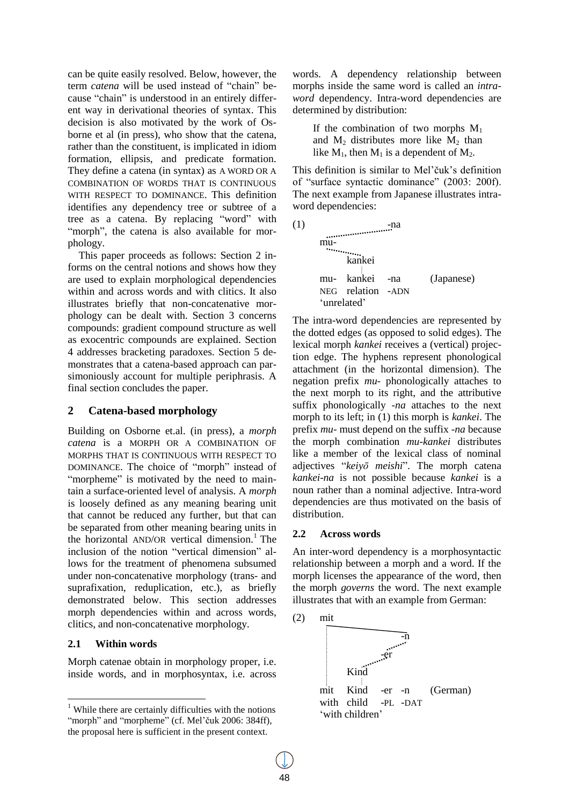can be quite easily resolved. Below, however, the term *catena* will be used instead of "chain" because "chain" is understood in an entirely different way in derivational theories of syntax. This decision is also motivated by the work of Osborne et al (in press), who show that the catena, rather than the constituent, is implicated in idiom formation, ellipsis, and predicate formation. They define a catena (in syntax) as A WORD OR A COMBINATION OF WORDS THAT IS CONTINUOUS WITH RESPECT TO DOMINANCE. This definition identifies any dependency tree or subtree of a tree as a catena. By replacing "word" with "morph", the catena is also available for morphology.

This paper proceeds as follows: Section 2 informs on the central notions and shows how they are used to explain morphological dependencies within and across words and with clitics. It also illustrates briefly that non-concatenative morphology can be dealt with. Section 3 concerns compounds: gradient compound structure as well as exocentric compounds are explained. Section 4 addresses bracketing paradoxes. Section 5 demonstrates that a catena-based approach can parsimoniously account for multiple periphrasis. A final section concludes the paper.

### **2 Catena-based morphology**

Building on Osborne et.al. (in press), a *morph catena* is a MORPH OR A COMBINATION OF MORPHS THAT IS CONTINUOUS WITH RESPECT TO DOMINANCE. The choice of "morph" instead of "morpheme" is motivated by the need to maintain a surface-oriented level of analysis. A *morph* is loosely defined as any meaning bearing unit that cannot be reduced any further, but that can be separated from other meaning bearing units in the horizontal  $AND/OR$  vertical dimension.<sup>1</sup> The inclusion of the notion "vertical dimension" allows for the treatment of phenomena subsumed under non-concatenative morphology (trans- and suprafixation, reduplication, etc.), as briefly demonstrated below. This section addresses morph dependencies within and across words, clitics, and non-concatenative morphology.

### **2.1 Within words**

Morph catenae obtain in morphology proper, i.e. inside words, and in morphosyntax, i.e. across words. A dependency relationship between morphs inside the same word is called an *intraword* dependency. Intra-word dependencies are determined by distribution:

If the combination of two morphs  $M_1$ and  $M_2$  distributes more like  $M_2$  than like  $M_1$ , then  $M_1$  is a dependent of  $M_2$ .

This definition is similar to Mel'čuk's definition of "surface syntactic dominance" (2003: 200f). The next example from Japanese illustrates intraword dependencies:

| (1) |     |                                | -na |            |  |
|-----|-----|--------------------------------|-----|------------|--|
|     | mu- |                                |     |            |  |
|     |     | $\sim$ $\sim$ $\sim$<br>kankei |     |            |  |
|     |     |                                |     |            |  |
|     |     | mu- kankei -na                 |     | (Japanese) |  |
|     |     | NEG relation -ADN              |     |            |  |
|     |     | 'unrelated'                    |     |            |  |

The intra-word dependencies are represented by the dotted edges (as opposed to solid edges). The lexical morph *kankei* receives a (vertical) projection edge. The hyphens represent phonological attachment (in the horizontal dimension). The negation prefix *mu-* phonologically attaches to the next morph to its right, and the attributive suffix phonologically *-na* attaches to the next morph to its left; in (1) this morph is *kankei*. The prefix *mu-* must depend on the suffix *-na* because the morph combination *mu-kankei* distributes like a member of the lexical class of nominal adjectives "*keiyō meishi*". The morph catena *kankei*-*na* is not possible because *kankei* is a noun rather than a nominal adjective. Intra-word dependencies are thus motivated on the basis of distribution.

### **2.2 Across words**

An inter-word dependency is a morphosyntactic relationship between a morph and a word. If the morph licenses the appearance of the word, then the morph *governs* the word. The next example illustrates that with an example from German:



 $<sup>1</sup>$  While there are certainly difficulties with the notions</sup> "morph" and "morpheme" (cf. Mel'čuk 2006: 384ff), the proposal here is sufficient in the present context.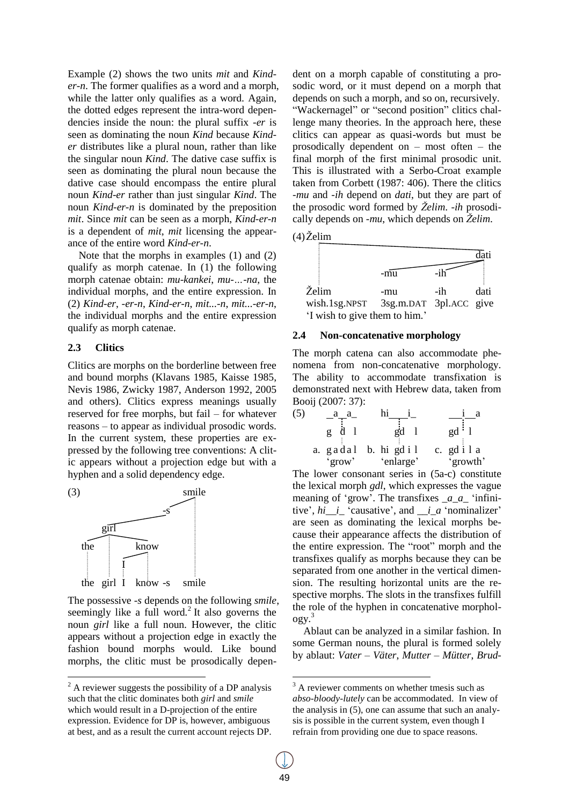Example (2) shows the two units *mit* and *Kinder-n*. The former qualifies as a word and a morph, while the latter only qualifies as a word. Again, the dotted edges represent the intra-word dependencies inside the noun: the plural suffix *-er* is seen as dominating the noun *Kind* because *Kinder* distributes like a plural noun, rather than like the singular noun *Kind*. The dative case suffix is seen as dominating the plural noun because the dative case should encompass the entire plural noun *Kind-er* rather than just singular *Kind*. The noun *Kind-er-n* is dominated by the preposition *mit*. Since *mit* can be seen as a morph, *Kind-er-n* is a dependent of *mit*, *mit* licensing the appearance of the entire word *Kind-er-n*.

Note that the morphs in examples (1) and (2) qualify as morph catenae. In (1) the following morph catenae obtain: *mu-kankei*, *mu-…-na*, the individual morphs, and the entire expression. In (2) *Kind-er*, *-er-n*, *Kind-er-n*, *mit...-n*, *mit...-er-n*, the individual morphs and the entire expression qualify as morph catenae.

#### **2.3 Clitics**

Clitics are morphs on the borderline between free and bound morphs (Klavans 1985, Kaisse 1985, Nevis 1986, Zwicky 1987, Anderson 1992, 2005 and others). Clitics express meanings usually reserved for free morphs, but fail – for whatever reasons – to appear as individual prosodic words. In the current system, these properties are expressed by the following tree conventions: A clitic appears without a projection edge but with a hyphen and a solid dependency edge.



The possessive *-s* depends on the following *smile*, seemingly like a full word.<sup>2</sup> It also governs the noun *girl* like a full noun. However, the clitic appears without a projection edge in exactly the fashion bound morphs would. Like bound morphs, the clitic must be prosodically dependent on a morph capable of constituting a prosodic word, or it must depend on a morph that depends on such a morph, and so on, recursively. "Wackernagel" or "second position" clitics challenge many theories. In the approach here, these clitics can appear as quasi-words but must be prosodically dependent on – most often – the final morph of the first minimal prosodic unit. This is illustrated with a Serbo-Croat example taken from Corbett (1987: 406). There the clitics *-mu* and *-ih* depend on *dati*, but they are part of the prosodic word formed by *Želim*. *-ih* prosodically depends on *-mu*, which depends on *Želim*.





### **2.4 Non-concatenative morphology**

The morph catena can also accommodate phenomena from non-concatenative morphology. The ability to accommodate transfixation is demonstrated next with Hebrew data, taken from Booij (2007: 37):

(5) 
$$
\begin{array}{c|c}\n a & a \\
\hline\n g & d & 1 \\
\end{array}
$$
  $\begin{array}{c|c}\n \text{hi} & i \\
\hline\n \text{gi} & 1 \\
\end{array}$   $\begin{array}{c|c}\n \text{i} & a \\
\text{gi} & 1 \\
\end{array}$   $\begin{array}{c|c}\n \text{i} & a \\
\text{gi} & 1 \\
\end{array}$   $\begin{array}{c|c}\n \text{i} & a \\
\text{gi} & 1 \\
\end{array}$   $\begin{array}{c|c}\n \text{g} & i & 1 \\
\text{g} & i & 1 \\
\end{array}$   $\begin{array}{c}\n \text{g} & i & 1 \\
\text{g} & i & 1 \\
\end{array}$ 

The lower consonant series in (5a-c) constitute the lexical morph *gdl*, which expresses the vague meaning of 'grow'. The transfixes  $\begin{bmatrix} a & a \end{bmatrix}$  "infinitive',  $hi$ *\_i*\_'causative', and *\_i\_a* 'nominalizer' are seen as dominating the lexical morphs because their appearance affects the distribution of the entire expression. The "root" morph and the transfixes qualify as morphs because they can be separated from one another in the vertical dimension. The resulting horizontal units are the respective morphs. The slots in the transfixes fulfill the role of the hyphen in concatenative morphol- $OgV.<sup>3</sup>$ 

Ablaut can be analyzed in a similar fashion. In some German nouns, the plural is formed solely by ablaut: *Vater – Väter*, *Mutter – Mütter*, *Brud-*

 $2$  A reviewer suggests the possibility of a DP analysis such that the clitic dominates both *girl* and *smile* which would result in a D-projection of the entire expression. Evidence for DP is, however, ambiguous at best, and as a result the current account rejects DP.

<sup>&</sup>lt;sup>3</sup> A reviewer comments on whether tmesis such as *abso-bloody-lutely* can be accommodated. In view of the analysis in (5), one can assume that such an analysis is possible in the current system, even though I refrain from providing one due to space reasons.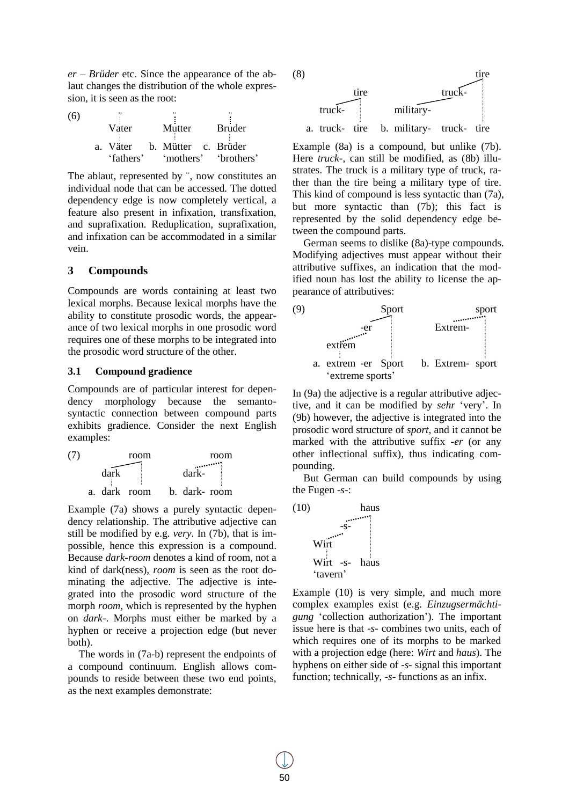*er – Brüder* etc. Since the appearance of the ablaut changes the distribution of the whole expression, it is seen as the root:

| (6) |                              |               |                                |
|-----|------------------------------|---------------|--------------------------------|
|     | Vater                        | Mutter Bruder |                                |
|     | a. Väter b. Mütter c. Brüder |               |                                |
|     |                              |               | 'fathers' 'mothers' 'brothers' |

The ablaut, represented by ¨, now constitutes an individual node that can be accessed. The dotted dependency edge is now completely vertical, a feature also present in infixation, transfixation, and suprafixation. Reduplication, suprafixation, and infixation can be accommodated in a similar vein.

### **3 Compounds**

Compounds are words containing at least two lexical morphs. Because lexical morphs have the ability to constitute prosodic words, the appearance of two lexical morphs in one prosodic word requires one of these morphs to be integrated into the prosodic word structure of the other.

## **3.1 Compound gradience**

Compounds are of particular interest for dependency morphology because the semantosyntactic connection between compound parts exhibits gradience. Consider the next English examples:



Example (7a) shows a purely syntactic dependency relationship. The attributive adjective can still be modified by e.g. *very*. In (7b), that is impossible, hence this expression is a compound. Because *dark-room* denotes a kind of room, not a kind of dark(ness), *room* is seen as the root dominating the adjective. The adjective is integrated into the prosodic word structure of the morph *room*, which is represented by the hyphen on *dark-*. Morphs must either be marked by a hyphen or receive a projection edge (but never both).

The words in (7a-b) represent the endpoints of a compound continuum. English allows compounds to reside between these two end points, as the next examples demonstrate:



Example (8a) is a compound, but unlike (7b). Here *truck-*, can still be modified, as (8b) illustrates. The truck is a military type of truck, rather than the tire being a military type of tire. This kind of compound is less syntactic than (7a), but more syntactic than (7b); this fact is represented by the solid dependency edge between the compound parts.

German seems to dislike (8a)-type compounds. Modifying adjectives must appear without their attributive suffixes, an indication that the modified noun has lost the ability to license the appearance of attributives:



In (9a) the adjective is a regular attributive adjective, and it can be modified by *sehr* "very". In (9b) however, the adjective is integrated into the prosodic word structure of *sport*, and it cannot be marked with the attributive suffix *-er* (or any other inflectional suffix), thus indicating compounding.

But German can build compounds by using the Fugen *-s-*:



Example (10) is very simple, and much more complex examples exist (e.g. *Einzugsermächtigung* 'collection authorization'). The important issue here is that *-s-* combines two units, each of which requires one of its morphs to be marked with a projection edge (here: *Wirt* and *haus*). The hyphens on either side of *-s-* signal this important function; technically, *-s-* functions as an infix.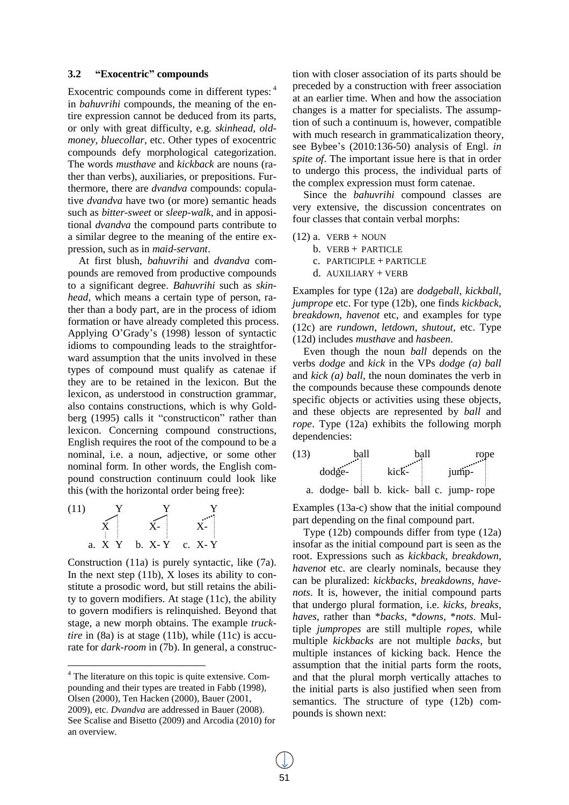#### **3.2 "Exocentric" compounds**

Exocentric compounds come in different types: <sup>4</sup> in *bahuvrihi* compounds, the meaning of the entire expression cannot be deduced from its parts, or only with great difficulty, e.g. *skinhead*, *oldmoney*, *bluecollar*, etc. Other types of exocentric compounds defy morphological categorization. The words *musthave* and *kickback* are nouns (rather than verbs), auxiliaries, or prepositions. Furthermore, there are *dvandva* compounds: copulative *dvandva* have two (or more) semantic heads such as *bitter-sweet* or *sleep-walk*, and in appositional *dvandva* the compound parts contribute to a similar degree to the meaning of the entire expression, such as in *maid-servant*.

At first blush, *bahuvrihi* and *dvandva* compounds are removed from productive compounds to a significant degree. *Bahuvrihi* such as *skinhead*, which means a certain type of person, rather than a body part, are in the process of idiom formation or have already completed this process. Applying O"Grady"s (1998) lesson of syntactic idioms to compounding leads to the straightforward assumption that the units involved in these types of compound must qualify as catenae if they are to be retained in the lexicon. But the lexicon, as understood in construction grammar, also contains constructions, which is why Goldberg (1995) calls it "constructicon" rather than lexicon. Concerning compound constructions, English requires the root of the compound to be a nominal, i.e. a noun, adjective, or some other nominal form. In other words, the English compound construction continuum could look like this (with the horizontal order being free):



Construction (11a) is purely syntactic, like (7a). In the next step  $(11b)$ , X loses its ability to constitute a prosodic word, but still retains the ability to govern modifiers. At stage (11c), the ability to govern modifiers is relinquished. Beyond that stage, a new morph obtains. The example *trucktire* in (8a) is at stage (11b), while (11c) is accurate for *dark-room* in (7b). In general, a construction with closer association of its parts should be preceded by a construction with freer association at an earlier time. When and how the association changes is a matter for specialists. The assumption of such a continuum is, however, compatible with much research in grammaticalization theory, see Bybee"s (2010:136-50) analysis of Engl. *in spite of*. The important issue here is that in order to undergo this process, the individual parts of the complex expression must form catenae.

Since the *bahuvrihi* compound classes are very extensive, the discussion concentrates on four classes that contain verbal morphs:

$$
(12) a. VERB + NOUN
$$

b. VERB + PARTICLE

c. PARTICIPLE + PARTICLE

d. AUXILIARY + VERB

Examples for type (12a) are *dodgeball*, *kickball*, *jumprope* etc. For type (12b), one finds *kickback*, *breakdown*, *havenot* etc, and examples for type (12c) are *rundown*, *letdown*, *shutout*, etc. Type (12d) includes *musthave* and *hasbeen*.

Even though the noun *ball* depends on the verbs *dodge* and *kick* in the VPs *dodge (a) ball* and *kick (a) ball*, the noun dominates the verb in the compounds because these compounds denote specific objects or activities using these objects, and these objects are represented by *ball* and *rope*. Type (12a) exhibits the following morph dependencies:



Examples (13a-c) show that the initial compound part depending on the final compound part.

Type (12b) compounds differ from type (12a) insofar as the initial compound part is seen as the root. Expressions such as *kickback*, *breakdown*, *havenot* etc. are clearly nominals, because they can be pluralized: *kickbacks*, *breakdowns*, *havenots*. It is, however, the initial compound parts that undergo plural formation, i.e. *kicks*, *breaks*, *haves*, rather than \**backs*, \**downs*, \**nots*. Multiple *jumpropes* are still multiple *ropes*, while multiple *kickbacks* are not multiple *backs*, but multiple instances of kicking back. Hence the assumption that the initial parts form the roots, and that the plural morph vertically attaches to the initial parts is also justified when seen from semantics. The structure of type (12b) compounds is shown next:

 $4$  The literature on this topic is quite extensive. Compounding and their types are treated in Fabb (1998), Olsen (2000), Ten Hacken (2000), Bauer (2001, 2009), etc. *Dvandva* are addressed in Bauer (2008). See Scalise and Bisetto (2009) and Arcodia (2010) for an overview.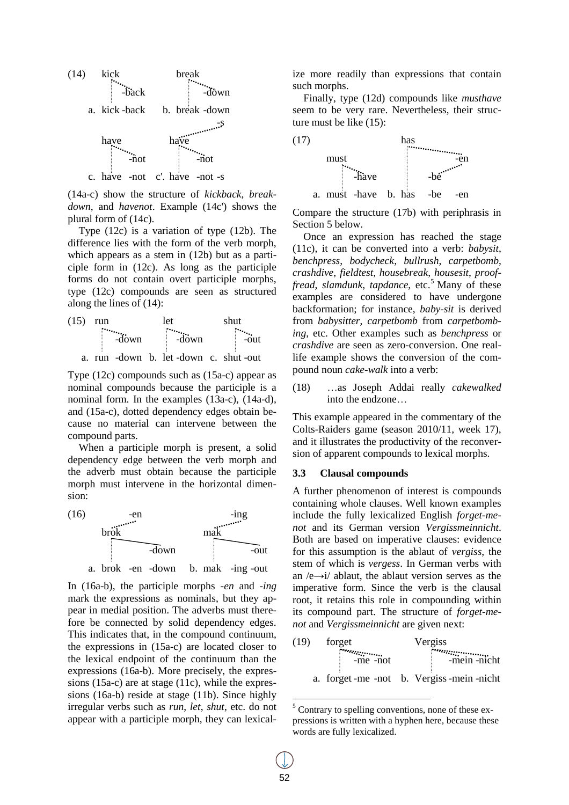

(14a-c) show the structure of *kickback*, *breakdown*, and *havenot*. Example (14c') shows the plural form of (14c).

Type (12c) is a variation of type (12b). The difference lies with the form of the verb morph, which appears as a stem in (12b) but as a participle form in (12c). As long as the participle forms do not contain overt participle morphs, type (12c) compounds are seen as structured along the lines of (14):



Type (12c) compounds such as (15a-c) appear as nominal compounds because the participle is a nominal form. In the examples (13a-c), (14a-d), and (15a-c), dotted dependency edges obtain because no material can intervene between the compound parts.

When a participle morph is present, a solid dependency edge between the verb morph and the adverb must obtain because the participle morph must intervene in the horizontal dimension:



In (16a-b), the participle morphs *-en* and *-ing* mark the expressions as nominals, but they appear in medial position. The adverbs must therefore be connected by solid dependency edges. This indicates that, in the compound continuum, the expressions in (15a-c) are located closer to the lexical endpoint of the continuum than the expressions (16a-b). More precisely, the expressions (15a-c) are at stage (11c), while the expressions (16a-b) reside at stage (11b). Since highly irregular verbs such as *run*, *let*, *shut*, etc. do not appear with a participle morph, they can lexicalize more readily than expressions that contain such morphs.

Finally, type (12d) compounds like *musthave* seem to be very rare. Nevertheless, their structure must be like (15):



Compare the structure (17b) with periphrasis in Section 5 below.

Once an expression has reached the stage (11c), it can be converted into a verb: *babysit*, *benchpress*, *bodycheck*, *bullrush*, *carpetbomb*, *crashdive*, *fieldtest*, *housebreak*, *housesit*, *prooffread, slamdunk, tapdance, etc.*<sup>5</sup> Many of these examples are considered to have undergone backformation; for instance, *baby-sit* is derived from *babysitter*, *carpetbomb* from *carpetbombing*, etc. Other examples such as *benchpress* or *crashdive* are seen as zero-conversion. One reallife example shows the conversion of the compound noun *cake-walk* into a verb:

(18) …as Joseph Addai really *cakewalked* into the endzone…

This example appeared in the commentary of the Colts-Raiders game (season 2010/11, week 17), and it illustrates the productivity of the reconversion of apparent compounds to lexical morphs.

#### **3.3 Clausal compounds**

A further phenomenon of interest is compounds containing whole clauses. Well known examples include the fully lexicalized English *forget-menot* and its German version *Vergissmeinnicht*. Both are based on imperative clauses: evidence for this assumption is the ablaut of *vergiss*, the stem of which is *vergess*. In German verbs with an  $/e \rightarrow i/$  ablaut, the ablaut version serves as the imperative form. Since the verb is the clausal root, it retains this role in compounding within its compound part. The structure of *forget-menot* and *Vergissmeinnicht* are given next:

| (19) | forget     | Vergiss                                    |  |  |  |
|------|------------|--------------------------------------------|--|--|--|
|      | $-me$ -not | $\frac{1}{2}$ -mein-nicht                  |  |  |  |
|      |            | a. forget -me -not b. Vergiss -mein -nicht |  |  |  |

<sup>5</sup> Contrary to spelling conventions, none of these expressions is written with a hyphen here, because these words are fully lexicalized.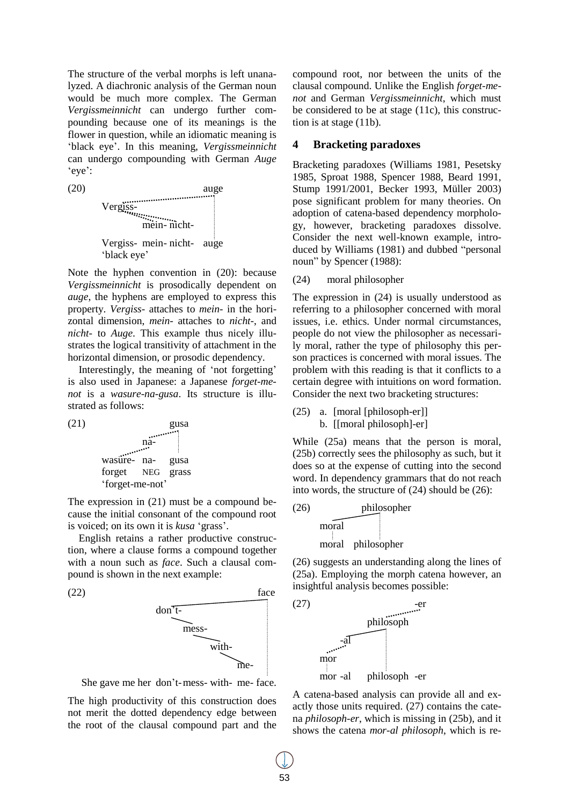The structure of the verbal morphs is left unanalyzed. A diachronic analysis of the German noun would be much more complex. The German *Vergissmeinnicht* can undergo further compounding because one of its meanings is the flower in question, while an idiomatic meaning is "black eye". In this meaning, *Vergissmeinnicht* can undergo compounding with German *Auge* "eye":



Note the hyphen convention in (20): because *Vergissmeinnicht* is prosodically dependent on *auge*, the hyphens are employed to express this property. *Vergiss-* attaches to *mein-* in the horizontal dimension, *mein-* attaches to *nicht-*, and *nicht-* to *Auge*. This example thus nicely illustrates the logical transitivity of attachment in the horizontal dimension, or prosodic dependency.

Interestingly, the meaning of 'not forgetting' is also used in Japanese: a Japanese *forget-menot* is a *wasure-na-gusa*. Its structure is illustrated as follows:



The expression in (21) must be a compound because the initial consonant of the compound root is voiced; on its own it is *kusa* "grass".

English retains a rather productive construction, where a clause forms a compound together with a noun such as *face*. Such a clausal compound is shown in the next example:





The high productivity of this construction does not merit the dotted dependency edge between the root of the clausal compound part and the compound root, nor between the units of the clausal compound. Unlike the English *forget-menot* and German *Vergissmeinnicht*, which must be considered to be at stage (11c), this construction is at stage (11b).

## **4 Bracketing paradoxes**

Bracketing paradoxes (Williams 1981, Pesetsky 1985, Sproat 1988, Spencer 1988, Beard 1991, Stump 1991/2001, Becker 1993, Müller 2003) pose significant problem for many theories. On adoption of catena-based dependency morphology, however, bracketing paradoxes dissolve. Consider the next well-known example, introduced by Williams (1981) and dubbed "personal noun" by Spencer (1988):

(24) moral philosopher

The expression in (24) is usually understood as referring to a philosopher concerned with moral issues, i.e. ethics. Under normal circumstances, people do not view the philosopher as necessarily moral, rather the type of philosophy this person practices is concerned with moral issues. The problem with this reading is that it conflicts to a certain degree with intuitions on word formation. Consider the next two bracketing structures:

```
(25) a. [moral [philosoph-er]]
     b. [[moral philosoph]-er]
```
While (25a) means that the person is moral, (25b) correctly sees the philosophy as such, but it does so at the expense of cutting into the second word. In dependency grammars that do not reach into words, the structure of (24) should be (26):



(26) suggests an understanding along the lines of (25a). Employing the morph catena however, an insightful analysis becomes possible:



A catena-based analysis can provide all and exactly those units required. (27) contains the catena *philosoph-er*, which is missing in (25b), and it shows the catena *mor-al philosoph*, which is re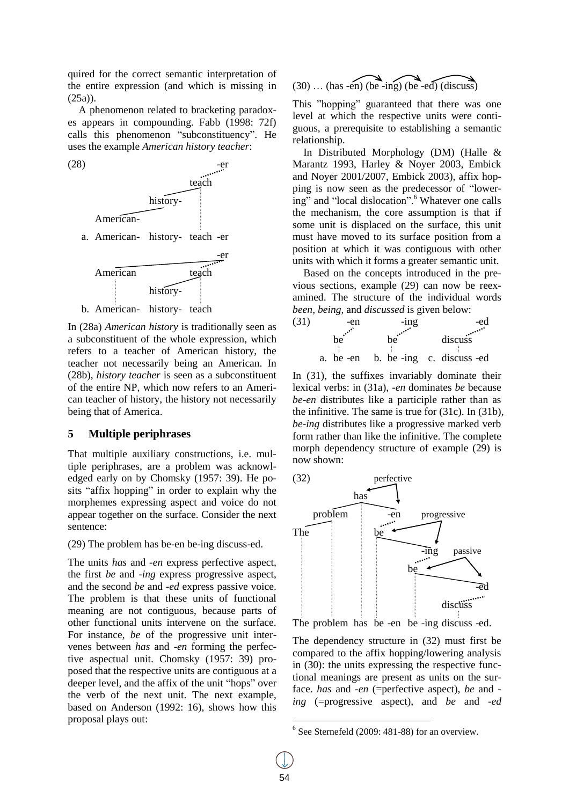quired for the correct semantic interpretation of the entire expression (and which is missing in (25a)).

A phenomenon related to bracketing paradoxes appears in compounding. Fabb (1998: 72f) calls this phenomenon "subconstituency". He uses the example *American history teacher*:



In (28a) *American history* is traditionally seen as a subconstituent of the whole expression, which refers to a teacher of American history, the teacher not necessarily being an American. In (28b), *history teacher* is seen as a subconstituent of the entire NP, which now refers to an American teacher of history, the history not necessarily being that of America.

## **5 Multiple periphrases**

That multiple auxiliary constructions, i.e. multiple periphrases, are a problem was acknowledged early on by Chomsky (1957: 39). He posits "affix hopping" in order to explain why the morphemes expressing aspect and voice do not appear together on the surface. Consider the next sentence:

(29) The problem has be-en be-ing discuss-ed.

The units *has* and *-en* express perfective aspect, the first *be* and *-ing* express progressive aspect, and the second *be* and *-ed* express passive voice. The problem is that these units of functional meaning are not contiguous, because parts of other functional units intervene on the surface. For instance, *be* of the progressive unit intervenes between *has* and *-en* forming the perfective aspectual unit. Chomsky (1957: 39) proposed that the respective units are contiguous at a deeper level, and the affix of the unit "hops" over the verb of the next unit. The next example, based on Anderson (1992: 16), shows how this proposal plays out:

$$
(30) \dots (has - en) (be - ing) (be - ed) (discuss)
$$

This "hopping" guaranteed that there was one level at which the respective units were contiguous, a prerequisite to establishing a semantic relationship.

In Distributed Morphology (DM) (Halle & Marantz 1993, Harley & Noyer 2003, Embick and Noyer 2001/2007, Embick 2003), affix hopping is now seen as the predecessor of "lowering" and "local dislocation".<sup>6</sup> Whatever one calls the mechanism, the core assumption is that if some unit is displaced on the surface, this unit must have moved to its surface position from a position at which it was contiguous with other units with which it forms a greater semantic unit.

Based on the concepts introduced in the previous sections, example (29) can now be reexamined. The structure of the individual words *been*, *being*, and *discussed* is given below:



In (31), the suffixes invariably dominate their lexical verbs: in (31a), *-en* dominates *be* because *be-en* distributes like a participle rather than as the infinitive. The same is true for (31c). In (31b), *be-ing* distributes like a progressive marked verb form rather than like the infinitive. The complete morph dependency structure of example (29) is now shown:



The problem has be -en be -ing discuss -ed.

The dependency structure in (32) must first be compared to the affix hopping/lowering analysis in (30): the units expressing the respective functional meanings are present as units on the surface. *has* and *-en* (=perfective aspect), *be* and  *ing* (=progressive aspect), and *be* and *-ed*

 $6$  See Sternefeld (2009: 481-88) for an overview.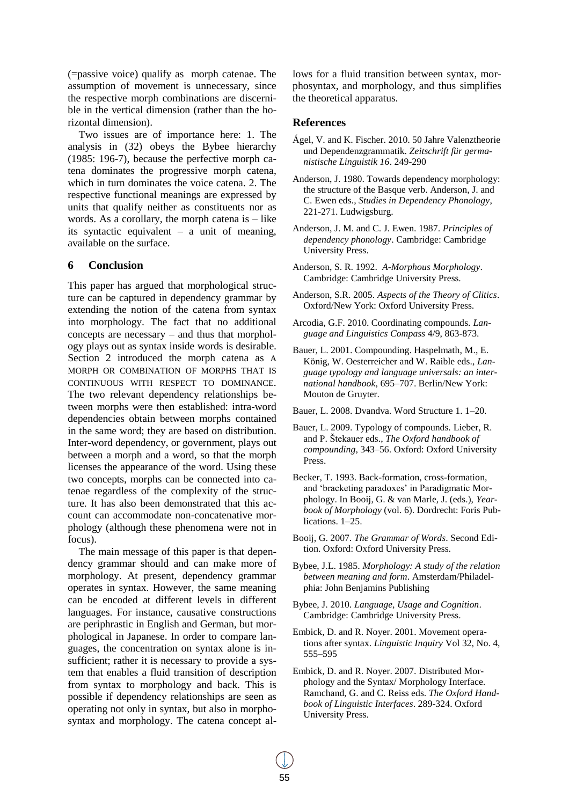(=passive voice) qualify as morph catenae. The assumption of movement is unnecessary, since the respective morph combinations are discernible in the vertical dimension (rather than the horizontal dimension).

Two issues are of importance here: 1. The analysis in (32) obeys the Bybee hierarchy (1985: 196-7), because the perfective morph catena dominates the progressive morph catena, which in turn dominates the voice catena. 2. The respective functional meanings are expressed by units that qualify neither as constituents nor as words. As a corollary, the morph catena is – like its syntactic equivalent – a unit of meaning, available on the surface.

### **6 Conclusion**

This paper has argued that morphological structure can be captured in dependency grammar by extending the notion of the catena from syntax into morphology. The fact that no additional concepts are necessary – and thus that morphology plays out as syntax inside words is desirable. Section 2 introduced the morph catena as A MORPH OR COMBINATION OF MORPHS THAT IS CONTINUOUS WITH RESPECT TO DOMINANCE. The two relevant dependency relationships between morphs were then established: intra-word dependencies obtain between morphs contained in the same word; they are based on distribution. Inter-word dependency, or government, plays out between a morph and a word, so that the morph licenses the appearance of the word. Using these two concepts, morphs can be connected into catenae regardless of the complexity of the structure. It has also been demonstrated that this account can accommodate non-concatenative morphology (although these phenomena were not in focus).

The main message of this paper is that dependency grammar should and can make more of morphology. At present, dependency grammar operates in syntax. However, the same meaning can be encoded at different levels in different languages. For instance, causative constructions are periphrastic in English and German, but morphological in Japanese. In order to compare languages, the concentration on syntax alone is insufficient; rather it is necessary to provide a system that enables a fluid transition of description from syntax to morphology and back. This is possible if dependency relationships are seen as operating not only in syntax, but also in morphosyntax and morphology. The catena concept allows for a fluid transition between syntax, morphosyntax, and morphology, and thus simplifies the theoretical apparatus.

### **References**

- Ágel, V. and K. Fischer. 2010. 50 Jahre Valenztheorie und Dependenzgrammatik. *Zeitschrift für germanistische Linguistik 16*. 249-290
- Anderson, J. 1980. Towards dependency morphology: the structure of the Basque verb. Anderson, J. and C. Ewen eds., *Studies in Dependency Phonology*, 221-271. Ludwigsburg.
- Anderson, J. M. and C. J. Ewen. 1987. *Principles of dependency phonology*. Cambridge: Cambridge University Press.
- Anderson, S. R. 1992. *A-Morphous Morphology*. Cambridge: Cambridge University Press.
- Anderson, S.R. 2005. *Aspects of the Theory of Clitics*. Oxford/New York: Oxford University Press.
- Arcodia, G.F. 2010. Coordinating compounds. *Language and Linguistics Compass* 4/9, 863-873.
- Bauer, L. 2001. Compounding. Haspelmath, M., E. König, W. Oesterreicher and W. Raible eds., *Language typology and language universals: an international handbook*, 695–707. Berlin/New York: Mouton de Gruyter.
- Bauer, L. 2008. Dvandva. Word Structure 1. 1–20.
- Bauer, L. 2009. Typology of compounds. Lieber, R. and P. Štekauer eds., *The Oxford handbook of compounding*, 343–56. Oxford: Oxford University Press.
- Becker, T. 1993. Back-formation, cross-formation, and 'bracketing paradoxes' in Paradigmatic Morphology. In Booij, G. & van Marle, J. (eds.), *Yearbook of Morphology* (vol. 6). Dordrecht: Foris Publications. 1–25.
- Booij, G. 2007. *The Grammar of Words*. Second Edition. Oxford: Oxford University Press.
- Bybee, J.L. 1985. *Morphology: A study of the relation between meaning and form*. Amsterdam/Philadelphia: John Benjamins Publishing
- Bybee, J. 2010. *Language, Usage and Cognition*. Cambridge: Cambridge University Press.
- Embick, D. and R. Noyer. 2001. Movement operations after syntax. *Linguistic Inquiry* Vol 32, No. 4, 555–595
- Embick, D. and R. Noyer. 2007. Distributed Morphology and the Syntax/ Morphology Interface. Ramchand, G. and C. Reiss eds. *The Oxford Handbook of Linguistic Interfaces*. 289-324. Oxford University Press.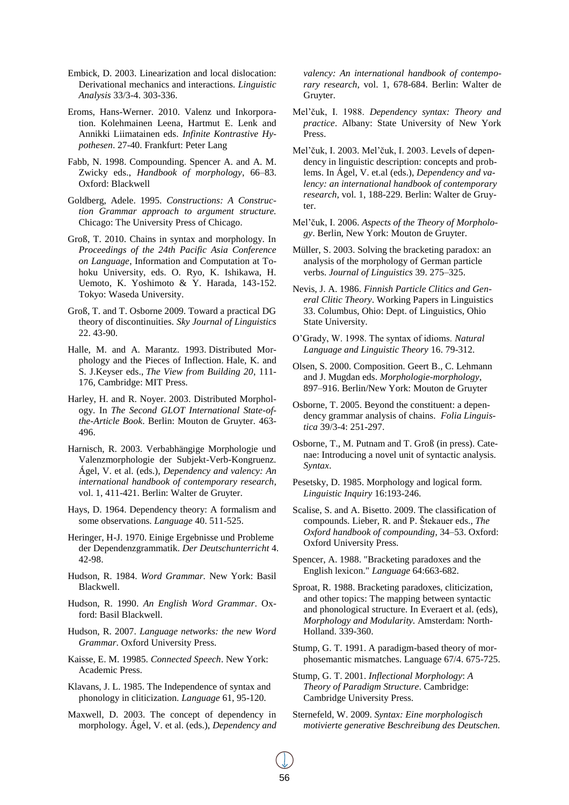- Embick, D. 2003. Linearization and local dislocation: Derivational mechanics and interactions. *Linguistic Analysis* 33/3-4. 303-336.
- Eroms, Hans-Werner. 2010. Valenz und Inkorporation. Kolehmainen Leena, Hartmut E. Lenk and Annikki Liimatainen eds. *Infinite Kontrastive Hypothesen*. 27-40. Frankfurt: Peter Lang
- Fabb, N. 1998. Compounding. Spencer A. and A. M. Zwicky eds., *Handbook of morphology*, 66–83. Oxford: Blackwell
- Goldberg, Adele. 1995. *Constructions: A Construction Grammar approach to argument structure.* Chicago: The University Press of Chicago.
- Groß, T. 2010. Chains in syntax and morphology. In *Proceedings of the 24th Pacific Asia Conference on Language*, Information and Computation at Tohoku University, eds. O. Ryo, K. Ishikawa, H. Uemoto, K. Yoshimoto & Y. Harada, 143-152. Tokyo: Waseda University.
- Groß, T. and T. Osborne 2009. Toward a practical DG theory of discontinuities. *Sky Journal of Linguistics* 22. 43-90.
- Halle, M. and A. Marantz. 1993. Distributed Morphology and the Pieces of Inflection. Hale, K. and S. J.Keyser eds., *The View from Building 20*, 111- 176, Cambridge: MIT Press.
- Harley, H. and R. Noyer. 2003. Distributed Morphology. In *The Second GLOT International State-ofthe-Article Book*. Berlin: Mouton de Gruyter. 463- 496.
- Harnisch, R. 2003. Verbabhängige Morphologie und Valenzmorphologie der Subjekt-Verb-Kongruenz. Ágel, V. et al. (eds.), *Dependency and valency: An international handbook of contemporary research*, vol. 1, 411-421. Berlin: Walter de Gruyter.
- Hays, D. 1964. Dependency theory: A formalism and some observations. *Language* 40. 511-525.
- Heringer, H-J. 1970. Einige Ergebnisse und Probleme der Dependenzgrammatik. *Der Deutschunterricht* 4. 42-98.
- Hudson, R. 1984. *Word Grammar.* New York: Basil Blackwell.
- Hudson, R. 1990. *An English Word Grammar*. Oxford: Basil Blackwell.
- Hudson, R. 2007. *Language networks: the new Word Grammar*. Oxford University Press.
- Kaisse, E. M. 19985. *Connected Speech*. New York: Academic Press.
- Klavans, J. L. 1985. The Independence of syntax and phonology in cliticization. *Language* 61, 95-120.
- Maxwell, D. 2003. The concept of dependency in morphology. Ágel, V. et al. (eds.), *Dependency and*

*valency: An international handbook of contemporary research*, vol. 1, 678-684. Berlin: Walter de Gruyter.

- Mel"čuk, I. 1988. *Dependency syntax: Theory and practice*. Albany: State University of New York Press.
- Mel"čuk, I. 2003. Mel"čuk, I. 2003. Levels of dependency in linguistic description: concepts and problems. In Ágel, V. et.al (eds.), *Dependency and valency: an international handbook of contemporary research*, vol. 1, 188-229. Berlin: Walter de Gruyter.
- Mel"čuk, I. 2006. *Aspects of the Theory of Morphology*. Berlin, New York: Mouton de Gruyter.
- Müller, S. 2003. Solving the bracketing paradox: an analysis of the morphology of German particle verbs. *Journal of Linguistics* 39. 275–325.
- Nevis, J. A. 1986. *Finnish Particle Clitics and General Clitic Theory*. Working Papers in Linguistics 33. Columbus, Ohio: Dept. of Linguistics, Ohio State University.
- O"Grady, W. 1998. The syntax of idioms. *Natural Language and Linguistic Theory* 16. 79-312.
- Olsen, S. 2000. Composition. Geert B., C. Lehmann and J. Mugdan eds. *Morphologie-morphology*, 897–916. Berlin/New York: Mouton de Gruyter
- Osborne, T. 2005. Beyond the constituent: a dependency grammar analysis of chains. *Folia Linguistica* 39/3-4: 251-297.
- Osborne, T., M. Putnam and T. Groß (in press). Catenae: Introducing a novel unit of syntactic analysis. *Syntax*.
- Pesetsky, D. 1985. Morphology and logical form. *Linguistic Inquiry* 16:193-246.
- Scalise, S. and A. Bisetto. 2009. The classification of compounds. Lieber, R. and P. Štekauer eds., *The Oxford handbook of compounding*, 34–53. Oxford: Oxford University Press.
- Spencer, A. 1988. "Bracketing paradoxes and the English lexicon." *Language* 64:663-682.
- Sproat, R. 1988. Bracketing paradoxes, cliticization, and other topics: The mapping between syntactic and phonological structure. In Everaert et al. (eds), *Morphology and Modularity.* Amsterdam: North-Holland. 339-360.
- Stump, G. T. 1991. A paradigm-based theory of morphosemantic mismatches. Language 67/4. 675-725.
- Stump, G. T. 2001. *Inflectional Morphology*: *A Theory of Paradigm Structure*. Cambridge: Cambridge University Press.
- Sternefeld, W. 2009. *Syntax: Eine morphologisch motivierte generative Beschreibung des Deutschen.*